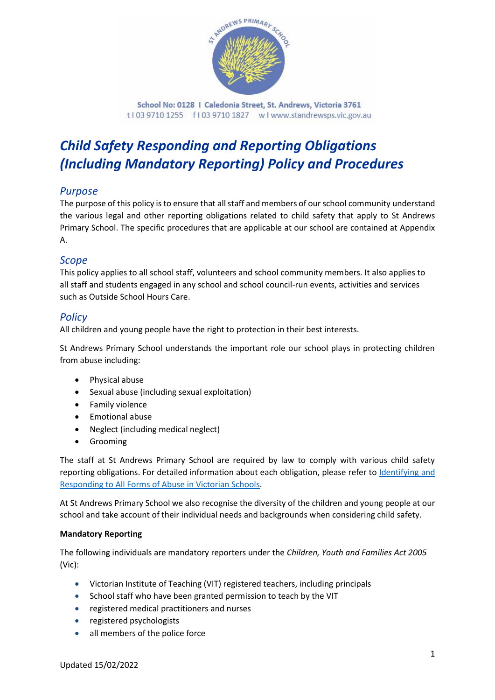

School No: 0128 | Caledonia Street, St. Andrews, Victoria 3761 t103 9710 1255 f103 9710 1827 wlwww.standrewsps.vic.gov.au

# *Child Safety Responding and Reporting Obligations (Including Mandatory Reporting) Policy and Procedures*

# *Purpose*

The purpose of this policy is to ensure that all staff and members of our school community understand the various legal and other reporting obligations related to child safety that apply to St Andrews Primary School. The specific procedures that are applicable at our school are contained at Appendix A.

# *Scope*

This policy applies to all school staff, volunteers and school community members. It also applies to all staff and students engaged in any school and school council-run events, activities and services such as Outside School Hours Care.

# *Policy*

All children and young people have the right to protection in their best interests.

St Andrews Primary School understands the important role our school plays in protecting children from abuse including:

- Physical abuse
- Sexual abuse (including sexual exploitation)
- Family violence
- Emotional abuse
- Neglect (including medical neglect)
- Grooming

The staff at St Andrews Primary School are required by law to comply with various child safety reporting obligations. For detailed information about each obligation, please refer to Identifying and [Responding to All Forms of Abuse in Victorian Schools.](https://www.education.vic.gov.au/Documents/about/programs/health/protect/ChildSafeStandard5_SchoolsGuide.pdf)

At St Andrews Primary School we also recognise the diversity of the children and young people at our school and take account of their individual needs and backgrounds when considering child safety.

## **Mandatory Reporting**

The following individuals are mandatory reporters under the *Children, Youth and Families Act 2005* (Vic):

- Victorian Institute of Teaching (VIT) registered teachers, including principals
- School staff who have been granted permission to teach by the VIT
- registered medical practitioners and nurses
- registered psychologists
- all members of the police force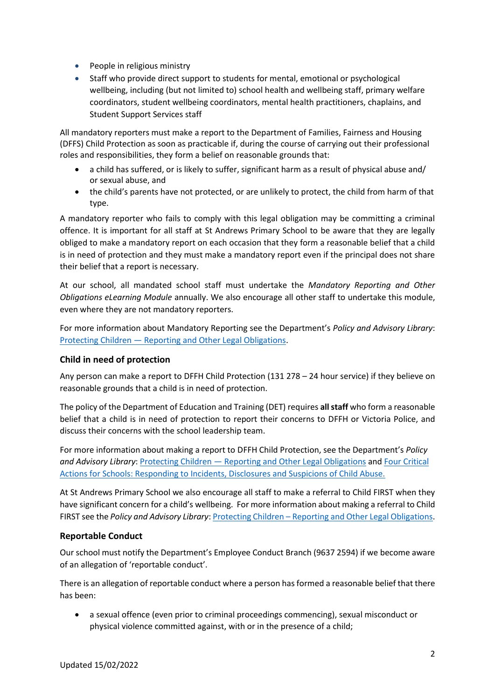- People in religious ministry
- Staff who provide direct support to students for mental, emotional or psychological wellbeing, including (but not limited to) school health and wellbeing staff, primary welfare coordinators, student wellbeing coordinators, mental health practitioners, chaplains, and Student Support Services staff

All mandatory reporters must make a report to the Department of Families, Fairness and Housing (DFFS) Child Protection as soon as practicable if, during the course of carrying out their professional roles and responsibilities, they form a belief on reasonable grounds that:

- a child has suffered, or is likely to suffer, significant harm as a result of physical abuse and/ or sexual abuse, and
- the child's parents have not protected, or are unlikely to protect, the child from harm of that type.

A mandatory reporter who fails to comply with this legal obligation may be committing a criminal offence. It is important for all staff at St Andrews Primary School to be aware that they are legally obliged to make a mandatory report on each occasion that they form a reasonable belief that a child is in need of protection and they must make a mandatory report even if the principal does not share their belief that a report is necessary.

At our school, all mandated school staff must undertake the *Mandatory Reporting and Other Obligations eLearning Module* annually. We also encourage all other staff to undertake this module, even where they are not mandatory reporters.

For more information about Mandatory Reporting see the Department's *Policy and Advisory Library*: Protecting Children — [Reporting and Other Legal Obligations.](https://www2.education.vic.gov.au/pal/protecting-children/policy)

## **Child in need of protection**

Any person can make a report to DFFH Child Protection (131 278 – 24 hour service) if they believe on reasonable grounds that a child is in need of protection.

The policy of the Department of Education and Training (DET) requires **all staff** who form a reasonable belief that a child is in need of protection to report their concerns to DFFH or Victoria Police, and discuss their concerns with the school leadership team.

For more information about making a report to DFFH Child Protection, see the Department's *Policy*  and Advisory Library: Protecting Children - [Reporting and Other Legal Obligations](https://www2.education.vic.gov.au/pal/protecting-children/policy) and Four Critical [Actions for Schools: Responding to Incidents, Disclosures and Suspicions of Child Abuse.](https://www.education.vic.gov.au/Documents/about/programs/health/protect/FourCriticalActions_ChildAbuse.pdf)

At St Andrews Primary School we also encourage all staff to make a referral to Child FIRST when they have significant concern for a child's wellbeing. For more information about making a referral to Child FIRST see the *Policy and Advisory Library*: Protecting Children – [Reporting and Other Legal Obligations.](https://www2.education.vic.gov.au/pal/protecting-children/policy)

#### **Reportable Conduct**

Our school must notify the Department's Employee Conduct Branch (9637 2594) if we become aware of an allegation of 'reportable conduct'.

There is an allegation of reportable conduct where a person has formed a reasonable belief that there has been:

• a sexual offence (even prior to criminal proceedings commencing), sexual misconduct or physical violence committed against, with or in the presence of a child;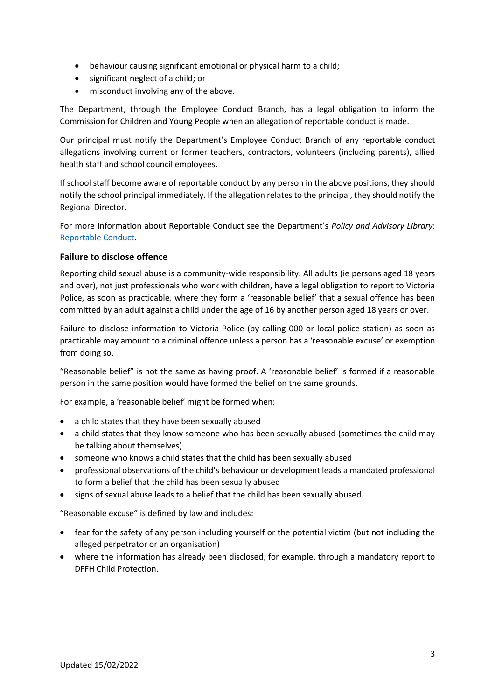- behaviour causing significant emotional or physical harm to a child;
- significant neglect of a child; or
- misconduct involving any of the above.

The Department, through the Employee Conduct Branch, has a legal obligation to inform the Commission for Children and Young People when an allegation of reportable conduct is made.

Our principal must notify the Department's Employee Conduct Branch of any reportable conduct allegations involving current or former teachers, contractors, volunteers (including parents), allied health staff and school council employees.

If school staff become aware of reportable conduct by any person in the above positions, they should notify the school principal immediately. If the allegation relates to the principal, they should notify the Regional Director.

For more information about Reportable Conduct see the Department's *Policy and Advisory Library*: [Reportable Conduct.](https://www2.education.vic.gov.au/pal/reportable-conduct-scheme/policy)

## **Failure to disclose offence**

Reporting child sexual abuse is a community-wide responsibility. All adults (ie persons aged 18 years and over), not just professionals who work with children, have a legal obligation to report to Victoria Police, as soon as practicable, where they form a 'reasonable belief' that a sexual offence has been committed by an adult against a child under the age of 16 by another person aged 18 years or over.

Failure to disclose information to Victoria Police (by calling 000 or local police station) as soon as practicable may amount to a criminal offence unless a person has a 'reasonable excuse' or exemption from doing so.

"Reasonable belief" is not the same as having proof. A 'reasonable belief' is formed if a reasonable person in the same position would have formed the belief on the same grounds.

For example, a 'reasonable belief' might be formed when:

- a child states that they have been sexually abused
- a child states that they know someone who has been sexually abused (sometimes the child may be talking about themselves)
- someone who knows a child states that the child has been sexually abused
- professional observations of the child's behaviour or development leads a mandated professional to form a belief that the child has been sexually abused
- signs of sexual abuse leads to a belief that the child has been sexually abused.

"Reasonable excuse" is defined by law and includes:

- fear for the safety of any person including yourself or the potential victim (but not including the alleged perpetrator or an organisation)
- where the information has already been disclosed, for example, through a mandatory report to DFFH Child Protection.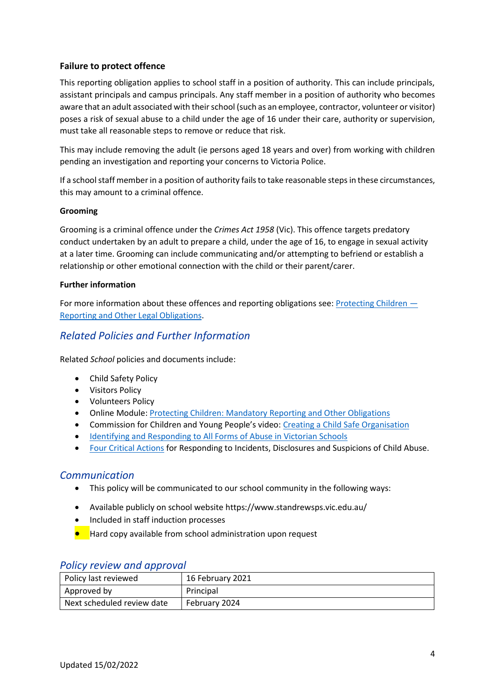## **Failure to protect offence**

This reporting obligation applies to school staff in a position of authority. This can include principals, assistant principals and campus principals. Any staff member in a position of authority who becomes aware that an adult associated with their school (such as an employee, contractor, volunteer or visitor) poses a risk of sexual abuse to a child under the age of 16 under their care, authority or supervision, must take all reasonable steps to remove or reduce that risk.

This may include removing the adult (ie persons aged 18 years and over) from working with children pending an investigation and reporting your concerns to Victoria Police.

If a school staff member in a position of authority fails to take reasonable steps in these circumstances, this may amount to a criminal offence.

## **Grooming**

Grooming is a criminal offence under the *Crimes Act 1958* (Vic). This offence targets predatory conduct undertaken by an adult to prepare a child, under the age of 16, to engage in sexual activity at a later time. Grooming can include communicating and/or attempting to befriend or establish a relationship or other emotional connection with the child or their parent/carer.

#### **Further information**

For more information about these offences and reporting obligations see: [Protecting Children](https://www2.education.vic.gov.au/pal/protecting-children/policy) — [Reporting and Other Legal Obligations.](https://www2.education.vic.gov.au/pal/protecting-children/policy)

# *Related Policies and Further Information*

Related *School* policies and documents include:

- Child Safety Policy
- Visitors Policy
- Volunteers Policy
- Online Module: [Protecting Children: Mandatory Reporting and Other Obligations](http://www.elearn.com.au/det/protectingchildren/)
- Commission for Children and Young People's video: [Creating a Child Safe Organisation](https://www.youtube.com/watch?v=YJBD_LSU5nQ&feature=youtu.be)
- [Identifying and Responding to All Forms of Abuse in Victorian Schools](https://www.education.vic.gov.au/Documents/about/programs/health/protect/ChildSafeStandard5_SchoolsGuide.pdf)
- [Four Critical Actions](https://www.education.vic.gov.au/Documents/about/programs/health/protect/FourCriticalActions_ChildAbuse.pdf) for Responding to Incidents, Disclosures and Suspicions of Child Abuse.

# *Communication*

- This policy will be communicated to our school community in the following ways:
- Available publicly on school website https://www.standrewsps.vic.edu.au/
- Included in staff induction processes
- Hard copy available from school administration upon request

| Policy last reviewed       | 16 February 2021 |
|----------------------------|------------------|
| Approved by                | Principal        |
| Next scheduled review date | February 2024    |

#### *Policy review and approval*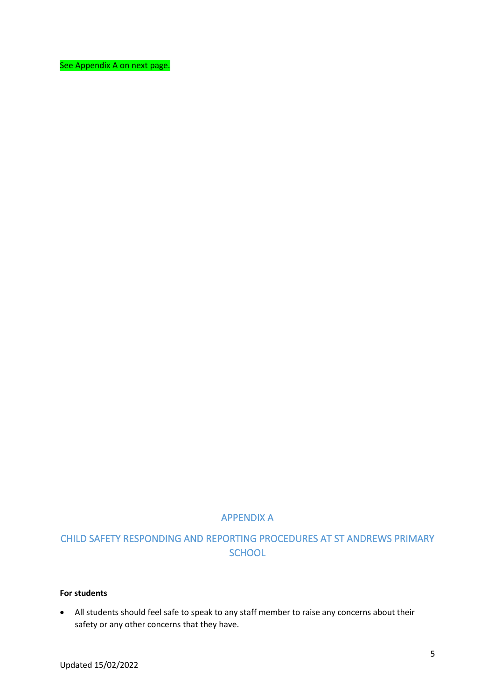See Appendix A on next page.

# APPENDIX A

# CHILD SAFETY RESPONDING AND REPORTING PROCEDURES AT ST ANDREWS PRIMARY **SCHOOL**

#### **For students**

• All students should feel safe to speak to any staff member to raise any concerns about their safety or any other concerns that they have.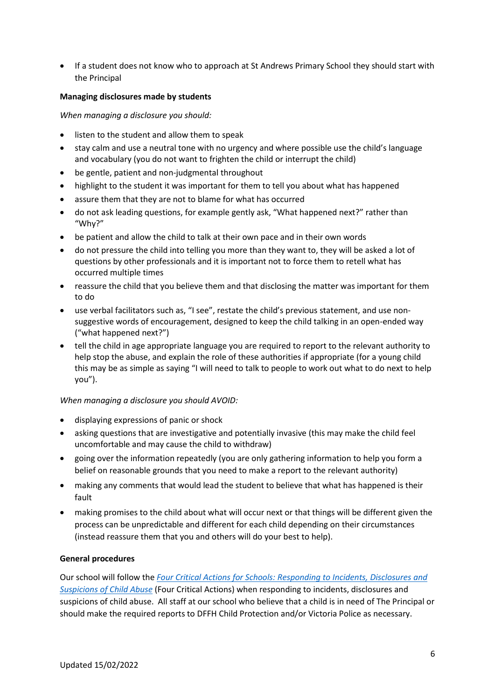• If a student does not know who to approach at St Andrews Primary School they should start with the Principal

#### **Managing disclosures made by students**

*When managing a disclosure you should:*

- listen to the student and allow them to speak
- stay calm and use a neutral tone with no urgency and where possible use the child's language and vocabulary (you do not want to frighten the child or interrupt the child)
- be gentle, patient and non-judgmental throughout
- highlight to the student it was important for them to tell you about what has happened
- assure them that they are not to blame for what has occurred
- do not ask leading questions, for example gently ask, "What happened next?" rather than "Why?"
- be patient and allow the child to talk at their own pace and in their own words
- do not pressure the child into telling you more than they want to, they will be asked a lot of questions by other professionals and it is important not to force them to retell what has occurred multiple times
- reassure the child that you believe them and that disclosing the matter was important for them to do
- use verbal facilitators such as, "I see", restate the child's previous statement, and use nonsuggestive words of encouragement, designed to keep the child talking in an open-ended way ("what happened next?")
- tell the child in age appropriate language you are required to report to the relevant authority to help stop the abuse, and explain the role of these authorities if appropriate (for a young child this may be as simple as saying "I will need to talk to people to work out what to do next to help you").

#### *When managing a disclosure you should AVOID:*

- displaying expressions of panic or shock
- asking questions that are investigative and potentially invasive (this may make the child feel uncomfortable and may cause the child to withdraw)
- going over the information repeatedly (you are only gathering information to help you form a belief on reasonable grounds that you need to make a report to the relevant authority)
- making any comments that would lead the student to believe that what has happened is their fault
- making promises to the child about what will occur next or that things will be different given the process can be unpredictable and different for each child depending on their circumstances (instead reassure them that you and others will do your best to help).

#### **General procedures**

Our school will follow the *[Four Critical Actions for Schools: Responding to Incidents, Disclosures and](https://www.education.vic.gov.au/Documents/about/programs/health/protect/FourCriticalActions_ChildAbuse.pdf)  [Suspicions of Child Abuse](https://www.education.vic.gov.au/Documents/about/programs/health/protect/FourCriticalActions_ChildAbuse.pdf)* (Four Critical Actions) when responding to incidents, disclosures and suspicions of child abuse. All staff at our school who believe that a child is in need of The Principal or should make the required reports to DFFH Child Protection and/or Victoria Police as necessary.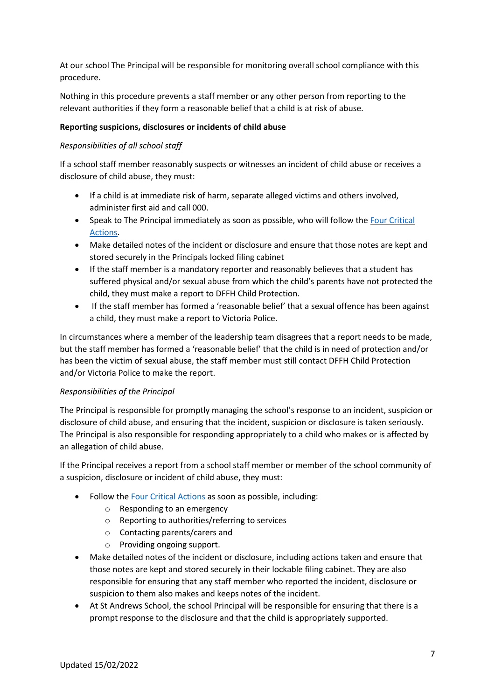At our school The Principal will be responsible for monitoring overall school compliance with this procedure.

Nothing in this procedure prevents a staff member or any other person from reporting to the relevant authorities if they form a reasonable belief that a child is at risk of abuse.

## **Reporting suspicions, disclosures or incidents of child abuse**

## *Responsibilities of all school staff*

If a school staff member reasonably suspects or witnesses an incident of child abuse or receives a disclosure of child abuse, they must:

- If a child is at immediate risk of harm, separate alleged victims and others involved, administer first aid and call 000.
- Speak to The Principal immediately as soon as possible, who will follow the [Four Critical](https://www.education.vic.gov.au/Documents/about/programs/health/protect/FourCriticalActions_ChildAbuse.pdf)  [Actions.](https://www.education.vic.gov.au/Documents/about/programs/health/protect/FourCriticalActions_ChildAbuse.pdf)
- Make detailed notes of the incident or disclosure and ensure that those notes are kept and stored securely in the Principals locked filing cabinet
- If the staff member is a mandatory reporter and reasonably believes that a student has suffered physical and/or sexual abuse from which the child's parents have not protected the child, they must make a report to DFFH Child Protection.
- If the staff member has formed a 'reasonable belief' that a sexual offence has been against a child, they must make a report to Victoria Police.

In circumstances where a member of the leadership team disagrees that a report needs to be made, but the staff member has formed a 'reasonable belief' that the child is in need of protection and/or has been the victim of sexual abuse, the staff member must still contact DFFH Child Protection and/or Victoria Police to make the report.

#### *Responsibilities of the Principal*

The Principal is responsible for promptly managing the school's response to an incident, suspicion or disclosure of child abuse, and ensuring that the incident, suspicion or disclosure is taken seriously. The Principal is also responsible for responding appropriately to a child who makes or is affected by an allegation of child abuse.

If the Principal receives a report from a school staff member or member of the school community of a suspicion, disclosure or incident of child abuse, they must:

- Follow th[e Four Critical Actions](https://www.education.vic.gov.au/Documents/about/programs/health/protect/FourCriticalActions_ChildAbuse.pdf) as soon as possible, including:
	- o Responding to an emergency
	- o Reporting to authorities/referring to services
	- o Contacting parents/carers and
	- o Providing ongoing support.
- Make detailed notes of the incident or disclosure, including actions taken and ensure that those notes are kept and stored securely in their lockable filing cabinet. They are also responsible for ensuring that any staff member who reported the incident, disclosure or suspicion to them also makes and keeps notes of the incident.
- At St Andrews School, the school Principal will be responsible for ensuring that there is a prompt response to the disclosure and that the child is appropriately supported.